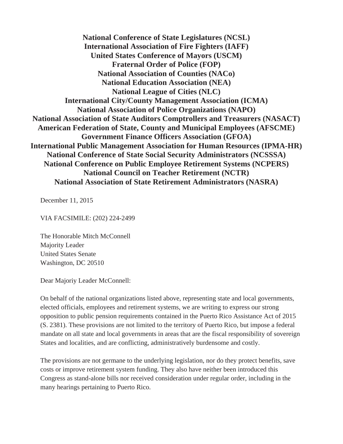**National Conference of State Legislatures (NCSL) International Association of Fire Fighters (IAFF) United States Conference of Mayors (USCM) Fraternal Order of Police (FOP) National Association of Counties (NACo) National Education Association (NEA) National League of Cities (NLC) International City/County Management Association (ICMA) National Association of Police Organizations (NAPO) National Association of State Auditors Comptrollers and Treasurers (NASACT) American Federation of State, County and Municipal Employees (AFSCME) Government Finance Officers Association (GFOA) International Public Management Association for Human Resources (IPMA-HR) National Conference of State Social Security Administrators (NCSSSA) National Conference on Public Employee Retirement Systems (NCPERS) National Council on Teacher Retirement (NCTR) National Association of State Retirement Administrators (NASRA)** 

December 11, 2015

VIA FACSIMILE: (202) 224-2499

The Honorable Mitch McConnell Majority Leader United States Senate Washington, DC 20510

Dear Majoriy Leader McConnell:

On behalf of the national organizations listed above, representing state and local governments, elected officials, employees and retirement systems, we are writing to express our strong opposition to public pension requirements contained in the Puerto Rico Assistance Act of 2015 (S. 2381). These provisions are not limited to the territory of Puerto Rico, but impose a federal mandate on all state and local governments in areas that are the fiscal responsibility of sovereign States and localities, and are conflicting, administratively burdensome and costly.

The provisions are not germane to the underlying legislation, nor do they protect benefits, save costs or improve retirement system funding. They also have neither been introduced this Congress as stand-alone bills nor received consideration under regular order, including in the many hearings pertaining to Puerto Rico.